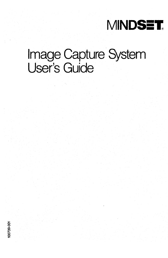

# Image Capture System User's Guide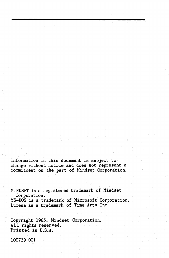Information in this document is subject to' change without notice and does not represent a commitment on the part of Mindset Corporation.

MINDSET is a registered trademark of Mindset· Corporation. MS-DOS is a trademark of Microsoft Corporation. Lumena is a trademark of Time Arts Inc.

Copyright 1985, Mindset Corporation. All rights reserved. Printed in U.S.A.

100739 001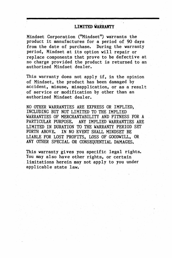# **LIMITED WARRANTY**

Mindset Corporation ("Mindset") warrants the product it manufactures for a period of 90 days from the date of purchase. During the warranty period, Mindset at its option will repair or replace components that prove to be defective at no charge provided the product is returned to an authorized Mindset dealer.

This warranty does not apply if, in the opinion of Mindset, the product has been damaged by accident, misuse, misapplication, or as a result of service or modification by other than an authorized Mindset dealer.

NO OTHER WARRANTIES ARE EXPRESS OR IMPLIED, INCLUDING BUT NOT LIMITED TO THE IMPLIED WARRANTIES OF MERCHANTABILITY AND FITNESS FOR A ANY IMPLIED WARRANTIES ARE LIMITED IN DURATION TO THE WARRANTY PERIOD SET FORTH ABOVE. IN NO EVENT SHALL MINDSET BE LIABLE FOR LOST PROFITS, LOSS OF GOODWILL, OR ANY OTHER SPECIAL OR CONSEQUENTIAL DAMAGES.

This warranty gives you specific legal rights. You may also have other rights, or certain limitations herein may not apply to you under applicable state law.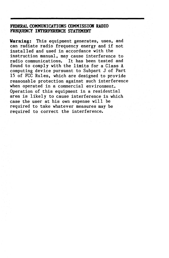## FEDERAL COKMUNICATIONS OOMMISSION RADIO FREQUENCY INTERFERENCE STATEMENT

Warning: This equipment generates, uses, and can radiate radio frequency energy and if not installed and used in accordance with the instruction manual, may cause interference to<br>radio communications. It has been tested and It has been tested and found to comply with the limits for a Class A computing device pursuant to Subpart J of Part 15 of FCC Rules, which are designed to provide reasonable protection against such interference when operated in a commercial environment. Operation of this equipment in a residential area is likely to cause interference in which case the user at his own expense will be required to take whatever measures may be required to correct the interference.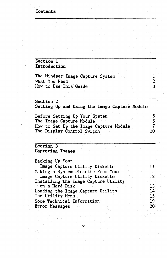## **Contents**

# Section 1 **Introduction**

| The Mindset Image Capture System |  |  |
|----------------------------------|--|--|
| What You Need                    |  |  |
| How to Use This Guide            |  |  |

Section 2 Setting Up and Using the Image Capture Module

| Before Setting Up Your System          |     |
|----------------------------------------|-----|
| The Image Capture Module               |     |
| How to Set Up the Image Capture Module |     |
| The Display Control Switch             | 10. |

# Section 3 Capturing Images

Backing Up Your Image Capture Utility Diskette Making a System.Diskette From Your Image Capture Utility Diskette Installing the Image Capture Utility on a Hard Disk Loading the Image Capture Utility The Utility Menu Some Technical Information Error Messages 11 12 13 14 15 19 20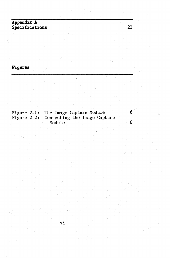# **Appendix A Specifications**

# **Figures**

Figure 2-1: Figure 2-2: The Image Capture Module Connecting the Image Capture Module

21

6

8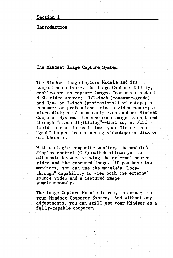#### Section 1

Introduction

# The Mindset Image Capture System

The Mindset Image Capture Module and its companion software, the Image Capture Utility, enables you to capture images from any standard NTSC video source: I/2-inch (consumer-grade) and *3/4-* or I-inch (professional) videotape; a consumer or professional studio video camera; a video disk; a TV broadcast; even another Mindset Computer System. Because each image is captured through "flash digitizing"--that is, at NTSC field rate or in real time--your Mindset can "grab" images from a moving videotape or disk or off the air. .

With a single composite monitor, the module's display control (C-X) switch allows you to alternate between viewing the external source video and the captured image. If you have two monitors, you can use the module's "loopthrough" capability to view both the external source video and a captured image simultaneously.

The Image Capture Module is easy to connect to your Mindset Computer System. And without any adjustments, you can still use your Mindset as a fully-capable computer.

I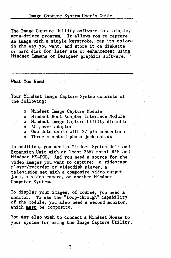The Image Capture Utility software is a simple, . menu-driven program. It allows you to capture an image with a single keystroke, map its colors in the way you want, and store it on diskette or hard disk for later use or enhancement using Mindset Lumena or Designer graphics software.

## **What You Need**

Your Mindset Image Capture System consists of the following:

- o Mindset Image Capture Module
- o Mindset Host Adapter Interface Module
- o Mindset Image Capture Utility diskette
- o AC power adapter
- o One data cable with 37-pin connectors
- o Three standard phono jack cables

In addition, you need a Mindset System Unit and Expansion Unit with at least 256K total RAM and Mindset MS-DOS. And you need a source for the video images you want to capture: a videotape player/recorder or videodisk player, a television set with a composite video output jack, a video camera, or another Mindset Computer System.

To display your images, of course, you need a monitor. To use the "loop-through" capability of the module, you also need a second monitor, which <u>must</u> be composite.

You may also wish to connect a Mindset Mouse to your system for using the Image Capture Utility.

2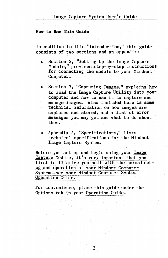## **How to Use This Guide**

In addition to this "Introduction," this guide consists of two sections and an appendix:

- o Section 2, "Setting Up the Image Capture Module," provides step-by-step instructions for connecting the module to your Mindset Computer.
- o Section 3, "Capturing Images," explains how to load the Image Capture Utility into your computer and how to use it to capture and manage images. Also included here is some technical information on how images are captured and stored, and a list of error messages you may get and what to do about them.
- o Appendix A, "Specifications," lists technical specifications for the Mindset Image Capture System.

Before you set up and begin using your Image Capture Module, it's very important that you first familiarize yourself with the normal setup and operation of your Mindset Computer System--see your Mindset Computer System Operation Guide.

For convenience, place this guide under the Options tab in your Operation Guide.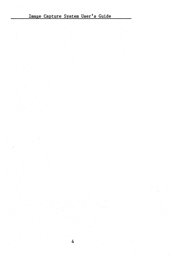4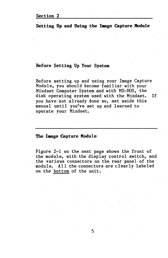#### **Section 2**

**Setting Up and Using the Image Capture Module** 

## **Before Setting Up Your System**

Before setting up and using your Image Capture Module, you should become familiar with your Mindset Computer System and with MS-DOS, the disk operating system used with the Mindset. If you have not already done so, set aside this manual until you've set up and learned to operate your Mindset.

## **The Image Capture Module**

Figure 2-1 on the next page shows the front of the module, with the display control switch, and the various connectors on the rear panel of the module. All the connectors are clearly labeled on the bottom of the unit.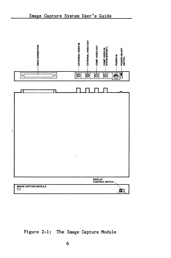| EXTERNAL VIDEO OUT<br>EXTERNAL VIDEO IN<br>DATA CONNECTOR | COMP. VIDEO OUT<br>COMP. VIDEO IN<br>(FROM MINDSET)<br>POWER ON/OFF<br>SWITCH |
|-----------------------------------------------------------|-------------------------------------------------------------------------------|
|                                                           | POWER IN                                                                      |
| ि<br>Ō<br>ं(<br>O,                                        | $\overline{\mathbb{O}}$<br>Ō<br>$\bigcirc$                                    |
|                                                           |                                                                               |
|                                                           |                                                                               |
|                                                           |                                                                               |
|                                                           |                                                                               |
|                                                           |                                                                               |
|                                                           |                                                                               |
|                                                           |                                                                               |
|                                                           |                                                                               |
|                                                           | DISPLAY<br>CONTROL SWITCH                                                     |
| <b>IMAGE CAPTURE MODULE</b><br>▭                          | $\mathbf{a}_\text{o}$                                                         |

**Figure 2-1: The Image Capture Module**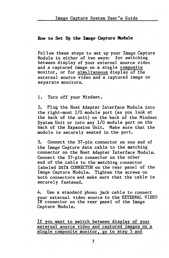## How to Set Up the Image Capture Module

Follow these steps to set up your Image Capture Module in either of two ways: for switching between display of your external source video and a captured image on a single composite monitor, or for simultaneous display of the external source video and a captured image on separate monitors.

1. Turn off your Mindset.

2. Plug the Host Adapter Interface Module into the right-most I/O module port (as you look at the back of the unit) on the back of the Mindset System Unit or into any I/O module port on the back of the Expansion Unit. Make sure that the module is securely seated in the port.

3. Connect the 37-pin connector on one end of the Image Capture data cable to the matching connector on the Host Adapter Interface Module. Connect the 37-pin connector on the other end of the cable to the matching connector labeled DATA CONNECTOR on the rear panel of the Image Capture Module. Tighten the screws on both connectors and make sure that the cable is securely fastened.

4. Use a standard phono jack cable to connect your external video source to the EXTERNAL VIDEO IN connector on the rear panel of the Image Capture Module.

If you want to switch between display of your external source video and captured images on a single composite monitor, go to step 5 and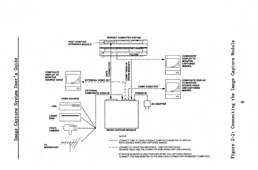Guide S)  $\bullet$ System User Capture Image



Module Capture Image  $the$ Connecting  $\bullet\bullet$  $\mathfrak{I}$  $\mathbf{\dot{q}}$ Figure

 $\infty$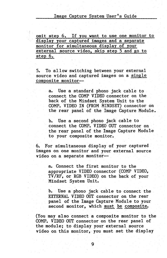omit step 6. If you want to use one monitor to display your captured images and a separate monitor for simultaneous display of your external source video, skip step 5 and go to step 6.

5. To allow switching between your external source video and captured images on a single composite monitor--

> a. Use a standard phono jack cable to connect the COMP VIDEO connector on the back of the Mindset System Unit to the COMP. VIDEO IN (FROM MINDSET) connector on the rear panel of the Image Capture Module.

b. Use a second phono jack cable to connect the COMP. VIDEO OUT connector on the rear panel of the Image Capture Module to your composite monitor.

6. For simultaneous display of your captured images on one monitor and your external source video on a separate monitor--

> a. Connect the first monitor to the appropriate VIDEO connector (COMP VIDEO, TV/RF, or RGB VIDEO) on the back of your Mindset System Unit.

b. Use a phono jack cable to connect the EXTERNAL VIDEO OUT connector on the rear panel of the Image Capture Module to your second monitor, which must be composite.

(You may also connect a composite monitor to the COMP. VIDEO OUT connector on the rear panel of the module; to display your external source video on this monitor, you must set the display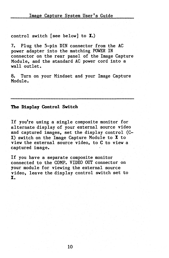control switch [see below] to  $X$ .)

7. Plug the 5-pin DIN connector from the AC power adapter into the matching POWER IN connector on the rear panel of the Image Capture Module, and the standard AC power cord into a wall outlet.

8. Turn on your Mindset and your Image Capture Module.

# The Display Control Switch

If you're using a single composite monitor for alternate display of your external source video and captured images, set the display control (C-X) switch on the Image Capture Module to X to view the external source video, to C to view a captured image.

If you have a separate composite monitor connected to the COMP. VIDEO OUT connector on your module for viewing the external source video, leave the display control switch set to x.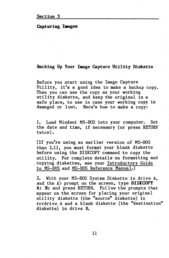#### Section 3 '

Capturing Images

# Backing Up Your Image Capture Utility Diskette

Before you start using the Image Capture Utility, it's a good idea to make a backup copy. Then you can use the copy as your working utility diskette, and keep the original in a safe place, to use in case your working copy is damaged or lost. Here's how to make a copy:

1. Load Mindset MS-DOS into your computer. Set the date and time, if necessary (or press RETURN twice).

(If you're using an earlier version of MS-DOS than 2.11, you must format your blank diskette before using the DISKCOPY command to copy the utility. For complete details on formatting and copying diskettes, see your Introductory Guide to MS-DOS and MS-DOS Reference Manual.)

2. With your MS-DOS System Diskette in drive A, and the  $A$  prompt on the screen, type DISKCOPY A: B: and press RETURN. Follow the prompts that appear on the screen for placing your original utility diskette (the "source" diskette) in rrrdrive A and a blank diskette (the "destination" diskette) in drive B.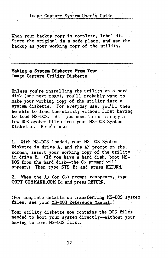When your backup copy is complete, label it. Store the original in a safe place, and use the backup as your working copy of the utility.

## Making a System Diskette From Your Image Capture Utility Diskette

Unless you're installing the utility on a hard disk (see next page),' you'll probably want to make your working copy of the utility into a system diskette. For everyday use, you'll then be able to load the utility without first having to load MS-DOS. All you need to do is copy a few DOS system files from your MS-DOS System Diskette. Here's how:

1. With MS-DOS loaded, your MS-DOS System Diskette in drive A, and the A> prompt on the screen, insert your working copy of the utility in drive B. (If you have a hard disk, boot MS-DOS from the hard disk--the C> prompt will appear.) Then type SYS B: and press RETURN.

2. When the  $A > (or C)$  prompt reappears, type COpy COMMAND.COM B: and press RETURN.

(For complete details on transferring MS-DOS system files, see your MS-DOS Reference Manual.)

Your utility diskette now contains the DOS files needed to boot your system directly--without your having to load MS-DOS first.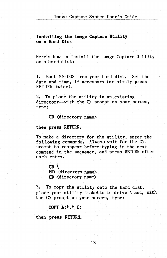Installing the Image Capture Utility on a Hard Disk '

Here's how to install the Image Capture Utility on a hard disk:

1. Boot MS-DOS from your hard disk. Set the date and time, if necessary (or simply press RETURN twice).

2. To place the utility in an existing directory-with the C prompt on your screen, type:

CD <directory name>

then press RETURN.

To make a directory for the utility, enter the following commands. Always wait for the C> prompt to reappear before typing in the next command in the sequence, and press RETURN after each entry.

> $CD \setminus$ MD <directory name> CD <directory name>

3. To copy the utility onto the hard disk, place your utility diskette in drive A and, with the C> prompt on your screen, type:

COPY  $A:*,* C:$ 

then press RETURN.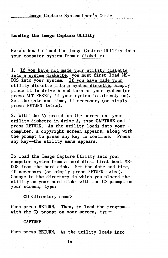#### Loading the Image Capture Utility

Here's how to load the Image Capture Utility into your computer system from a diskette:

1. If you have not made your utility diskette into a system diskette, you must first load MS~ DOS into your system. If you have made your utility diskette into a system diskette, simply place it in drive A and turn on your system (or press ALT-RESET, if your system is already on). Set the date and time, if necessary (or simply press RETURN twice).

2. With the A> prompt on the screen and your utility diskette in drive A, type CAPTURE and press RETURN. As the utility loads into your computer, a copyright screen appears, along with the prompt to press any key to continue. Press any key--the utility menu appears.

To load the Image Capture Utility into your computer system from a hard disk, first boot MS-DOS from the hard disk. Set the date and time, if necessary (or simply press RETURN twice). Change to the directory in which you placed the utility on your hard disk--with the C> prompt on your screen, type:

CD <directory name>

then press RETURN. Then, to load the program- with the C> prompt on your screen, type:

#### **CAPTURE**

then press RETURN. As the utility loads into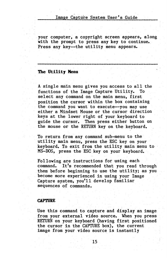your computer, a copyright screen appears, along with the prompt to press any key to continue. Press any key--the utility menu appears.

#### **The Utility Menu**

A single main menu gives you access to all the<br>functions of the Image Canture Utility. To functions of the Image Capture Utility. select any command on the main menu, first position the cursor within the box containing the command you want to execute--you may use either a Mindset Mouse or the cursor direction keys at the lower right of your keyboard to guide the cursor. Then press either button on the mouse or the RETURN key on the keyboard.

To return from any command sub-menu to the utility main menu, press the ESC key on your keyboard. To exit from the utility main menu to MS-DOS, press the ESC key on your keyboard.

Following are instructions for using each command. It's recommended that you read through them before beginning to use the utility; as you become more experienced in using your Image Capture system, you'll develop familiar sequences of commands.

### **CAPTURE**

Use this command to capture and display an image from your external video source. When you press RETURN on your keyboard (having first positioned the cursor in the CAPTURE box), the current image from your video source is instantly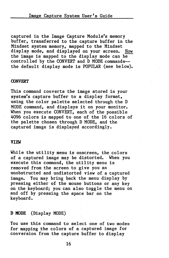captured in the Image Capture Module's memory buffer, transferred to the capture buffer in the Mindset system memory, mapped to the Mindset display mode, and displayed on your screen. How the image is mapped to the display mode can be controlled by the CONVERT and D MODE commands- the default display mode is POPULAR (see below).

#### **CONVERT**

This command converts the image stored in your system's capture buffer to a display format, using the color palette selected through the D MODE command, and displays it on your monitor. When you execute CONVERT, each of the possible 4096 colors is mapped to one of the 16 colors of the palette chosen through D MODE, and the captured image is displayed accordingly.

## VIEW

While the utility menu is onscreen, the colors of a captured image may be distorted. When you execute this command, the utility menu is removed from the screen to give you an unobstructed and undistorted view of a captured image. You may bring back the menu display by pressing either of the mouse buttons or any key on the keyboard; you can also toggle the menu on and off by pressing the space bar on the keyboard.

# D MODE (Display MODE)

You use this command to select one of two modes for mapping the colors of a captured image for conversion from the capture buffer to display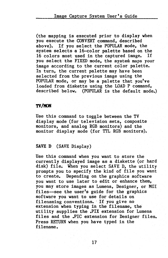(the mapping is executed prior to display when you execute the CONVERT command, described above). If you select the POPULAR mode, the system selects a  $16$ -color palette based on the  $16$  colors most used in the captured image. If 16 colors most used in the captured image. you select the FIXED mode, the system maps your image according to the current color palette. In turn, the current palette may have been selected from the previous image using the POPULAR mode, or may be a palette that you've loaded from diskette using the LOAD P command, described below. (POPULAR is the default mode.)

## **TV/MON**

Use this command to toggle between the TV display mode (for television sets, composite monitors, and analog RGB monitors) and the monitor display mode (for TTL RGB monitors).

# SAVE D (SAVE Display)

Use this command when you want to store the currently displayed image as a diskette (or hard disk) file. When you select SAVE D, the utility prompts you to specify the kind of file you want to create. Depending on the graphics software you want to use later to edit or enhance them, you may store images as Lumena, Designer, or MGI files--see the user's guide for the graphics software you want to use for details on filenaming conventions. If you give no extension when typing in the filename, the utility supplies the .PIX extension for Lumena files and the .PIC extension for Designer files. Press RETURN when you have typed in the filename.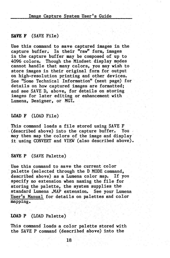## SAVE F (SAVE File)

Use this command to save captured images in the capture buffer. In their  $\overline{''}$ raw" form, images in the capture buffer may be composed of up to 4096 colors. Though the Mindset display modes cannot handle that many colors, you may wish to store images in their original form for output on high-resolution printing and other devices. See "Some Technical Information" (next page) for details on how captured images are formatted; and see SAVE D, above, for details on storing images for later editing or enhancement with Lumena, Designer, or MGI.

# LOAD F (LOAD File)

This command loads a file stored using SAVE F . (described above) into the capture buffer. You. may then map the colors of the image and display it using CONVERT and VIEW (also described above).

## SAVE P (SAVE Palette)

Use this command to save the current color palette (selected through the D MODE command,<br>described above) as a Lumena color map. If you described above) as a Lumena color map. specify no extension when naming the file for storing the palette, the system supplies the standard Lumena .MAP extension. See your Lumena User's Manual for details on palettes and color mapping.

# LOAD P (LOAD Palette)

This command loads a color palette stored with the SAVE P command (described above) into the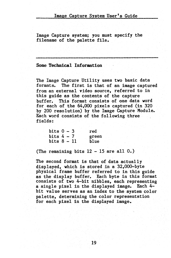Image Capture system; you must specify the filename of the palette file.

## Some Technical Information

The Image Capture Utility uses two basic data formats. The first is that of an image captured from an external video source, referred to in this guide as the contents of the capture buffer. This format consists of one data word for each of the 64,000 pixels captured (in 320 by 200 resolution) by the Image Capture Module. Each word consists of the following three fields:

| bits $0 - 3$  |  | red   |
|---------------|--|-------|
| bits $4 - 7$  |  | green |
| bits $8 - 11$ |  | blue  |

(The remaining bits  $12 - 15$  are all  $0.$ )

The second format is that of data actually displayed, which is stored in a 32,OOO-byte physical frame buffer referred to in this guide as the display buffer. Each byte in this format consists of two 4-bit nibbles, each representing a single pixel in the displayed image. Each 4 bit value serves as an index to the system color palette, determining the color representation for each pixel in the displayed image.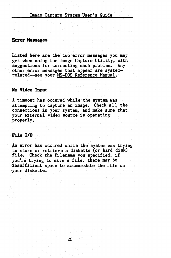# Error Messages

Listed here are the two error messages you may get when using the Image Capture Utility, with suggestions for correcting each problem. Any other error messages that appear are systemrelated--see your MS-DOS Reference Manual.

# No Video Input

A timeout has occured while the system was attempting to capture an image. Check all the connections in your system, and make sure that your external video source is operating properly.

## File I/O

An error has occured while the system was trying to store or retrieve a diskette (or hard disk) file. Check the filename you specified; if you're trying to save a file, there may be insufficient space to accommodate the file on -your diskette.